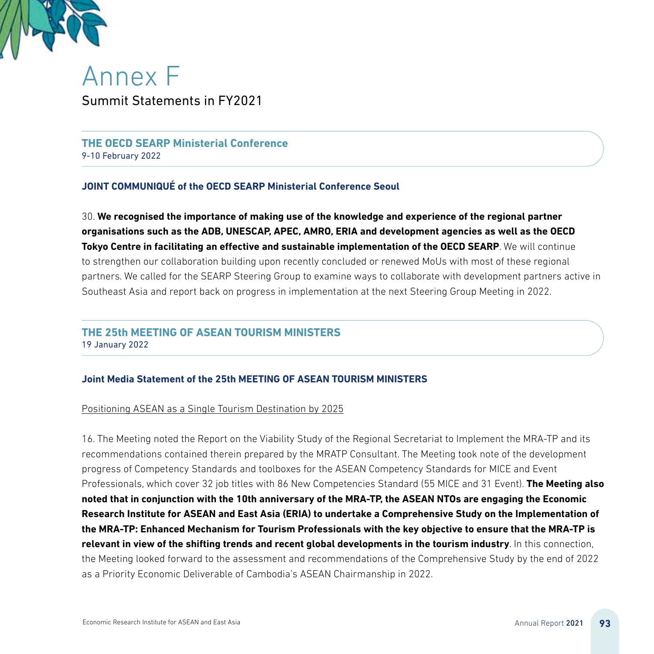

Annex F Summit Statements in FY2021

**THE OECD SEARP Ministerial Conference** 9-10 February 2022

# **JOINT COMMUNIQUÉ of the OECD SEARP Ministerial Conference Seoul**

30. **We recognised the importance of making use of the knowledge and experience of the regional partner organisations such as the ADB, UNESCAP, APEC, AMRO, ERIA and development agencies as well as the OECD Tokyo Centre in facilitating an effective and sustainable implementation of the OECD SEARP**. We will continue to strengthen our collaboration building upon recently concluded or renewed MoUs with most of these regional partners. We called for the SEARP Steering Group to examine ways to collaborate with development partners active in Southeast Asia and report back on progress in implementation at the next Steering Group Meeting in 2022.

# **THE 25th MEETING OF ASEAN TOURISM MINISTERS**

19 January 2022

## **Joint Media Statement of the 25th MEETING OF ASEAN TOURISM MINISTERS**

## Positioning ASEAN as a Single Tourism Destination by 2025

16. The Meeting noted the Report on the Viability Study of the Regional Secretariat to Implement the MRA-TP and its recommendations contained therein prepared by the MRATP Consultant. The Meeting took note of the development progress of Competency Standards and toolboxes for the ASEAN Competency Standards for MICE and Event Professionals, which cover 32 job titles with 86 New Competencies Standard (55 MICE and 31 Event). **The Meeting also noted that in conjunction with the 10th anniversary of the MRA-TP, the ASEAN NTOs are engaging the Economic Research Institute for ASEAN and East Asia (ERIA) to undertake a Comprehensive Study on the Implementation of the MRA-TP: Enhanced Mechanism for Tourism Professionals with the key objective to ensure that the MRA-TP is relevant in view of the shifting trends and recent global developments in the tourism industry**. In this connection, the Meeting looked forward to the assessment and recommendations of the Comprehensive Study by the end of 2022 as a Priority Economic Deliverable of Cambodia's ASEAN Chairmanship in 2022.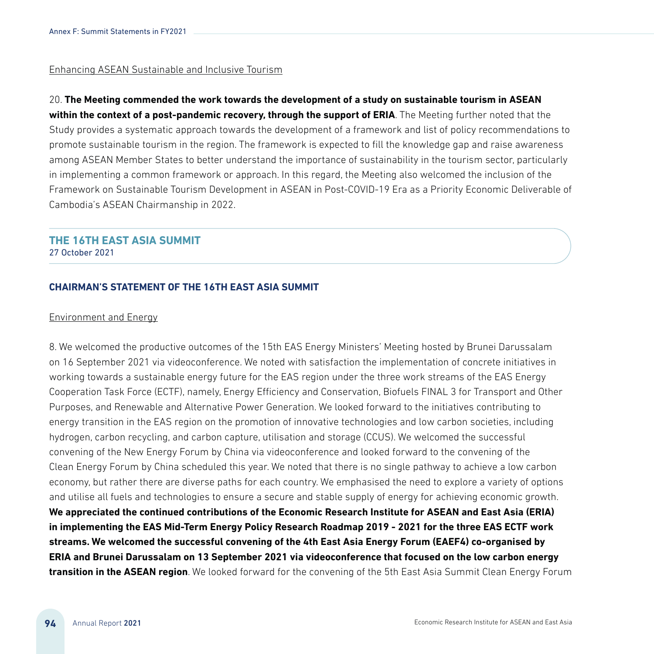#### Enhancing ASEAN Sustainable and Inclusive Tourism

20. **The Meeting commended the work towards the development of a study on sustainable tourism in ASEAN within the context of a post-pandemic recovery, through the support of ERIA**. The Meeting further noted that the Study provides a systematic approach towards the development of a framework and list of policy recommendations to promote sustainable tourism in the region. The framework is expected to fill the knowledge gap and raise awareness among ASEAN Member States to better understand the importance of sustainability in the tourism sector, particularly in implementing a common framework or approach. In this regard, the Meeting also welcomed the inclusion of the Framework on Sustainable Tourism Development in ASEAN in Post-COVID-19 Era as a Priority Economic Deliverable of Cambodia's ASEAN Chairmanship in 2022.

# **THE 16TH EAST ASIA SUMMIT**

27 October 2021

# **CHAIRMAN'S STATEMENT OF THE 16TH EAST ASIA SUMMIT**

#### Environment and Energy

8. We welcomed the productive outcomes of the 15th EAS Energy Ministers' Meeting hosted by Brunei Darussalam on 16 September 2021 via videoconference. We noted with satisfaction the implementation of concrete initiatives in working towards a sustainable energy future for the EAS region under the three work streams of the EAS Energy Cooperation Task Force (ECTF), namely, Energy Efficiency and Conservation, Biofuels FINAL 3 for Transport and Other Purposes, and Renewable and Alternative Power Generation. We looked forward to the initiatives contributing to energy transition in the EAS region on the promotion of innovative technologies and low carbon societies, including hydrogen, carbon recycling, and carbon capture, utilisation and storage (CCUS). We welcomed the successful convening of the New Energy Forum by China via videoconference and looked forward to the convening of the Clean Energy Forum by China scheduled this year. We noted that there is no single pathway to achieve a low carbon economy, but rather there are diverse paths for each country. We emphasised the need to explore a variety of options and utilise all fuels and technologies to ensure a secure and stable supply of energy for achieving economic growth.

**We appreciated the continued contributions of the Economic Research Institute for ASEAN and East Asia (ERIA) in implementing the EAS Mid-Term Energy Policy Research Roadmap 2019 - 2021 for the three EAS ECTF work streams. We welcomed the successful convening of the 4th East Asia Energy Forum (EAEF4) co-organised by ERIA and Brunei Darussalam on 13 September 2021 via videoconference that focused on the low carbon energy transition in the ASEAN region**. We looked forward for the convening of the 5th East Asia Summit Clean Energy Forum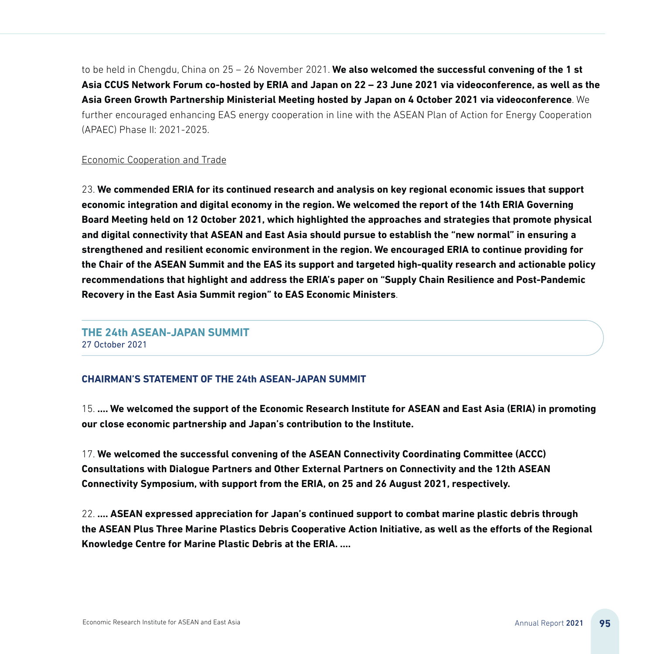to be held in Chengdu, China on 25 – 26 November 2021. **We also welcomed the successful convening of the 1 st Asia CCUS Network Forum co-hosted by ERIA and Japan on 22 – 23 June 2021 via videoconference, as well as the Asia Green Growth Partnership Ministerial Meeting hosted by Japan on 4 October 2021 via videoconference**. We further encouraged enhancing EAS energy cooperation in line with the ASEAN Plan of Action for Energy Cooperation (APAEC) Phase II: 2021-2025.

#### Economic Cooperation and Trade

23. **We commended ERIA for its continued research and analysis on key regional economic issues that support economic integration and digital economy in the region. We welcomed the report of the 14th ERIA Governing Board Meeting held on 12 October 2021, which highlighted the approaches and strategies that promote physical and digital connectivity that ASEAN and East Asia should pursue to establish the "new normal" in ensuring a strengthened and resilient economic environment in the region. We encouraged ERIA to continue providing for the Chair of the ASEAN Summit and the EAS its support and targeted high-quality research and actionable policy recommendations that highlight and address the ERIA's paper on "Supply Chain Resilience and Post-Pandemic Recovery in the East Asia Summit region" to EAS Economic Ministers**.

# **THE 24th ASEAN-JAPAN SUMMIT**  27 October 2021

#### **CHAIRMAN'S STATEMENT OF THE 24th ASEAN-JAPAN SUMMIT**

15. **…. We welcomed the support of the Economic Research Institute for ASEAN and East Asia (ERIA) in promoting our close economic partnership and Japan's contribution to the Institute.**

17. **We welcomed the successful convening of the ASEAN Connectivity Coordinating Committee (ACCC) Consultations with Dialogue Partners and Other External Partners on Connectivity and the 12th ASEAN Connectivity Symposium, with support from the ERIA, on 25 and 26 August 2021, respectively.**

22. **…. ASEAN expressed appreciation for Japan's continued support to combat marine plastic debris through the ASEAN Plus Three Marine Plastics Debris Cooperative Action Initiative, as well as the efforts of the Regional Knowledge Centre for Marine Plastic Debris at the ERIA. ….**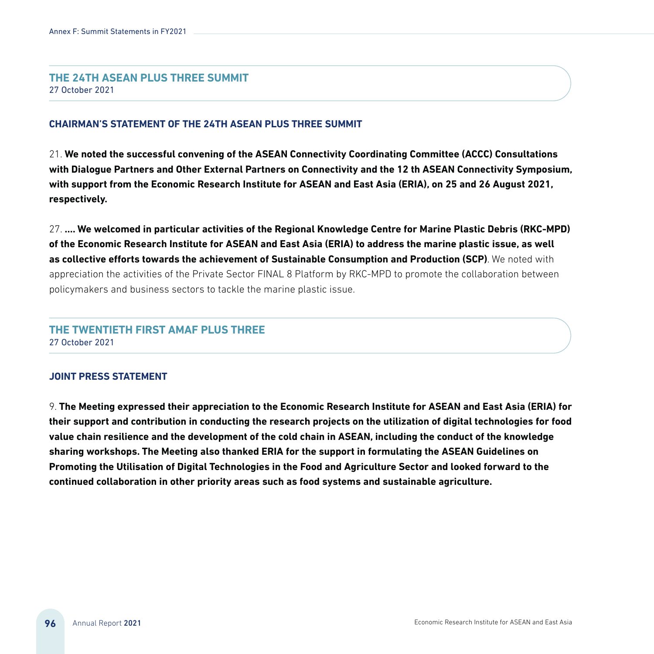## **THE 24TH ASEAN PLUS THREE SUMMIT**

27 October 2021

#### **CHAIRMAN'S STATEMENT OF THE 24TH ASEAN PLUS THREE SUMMIT**

21. **We noted the successful convening of the ASEAN Connectivity Coordinating Committee (ACCC) Consultations with Dialogue Partners and Other External Partners on Connectivity and the 12 th ASEAN Connectivity Symposium, with support from the Economic Research Institute for ASEAN and East Asia (ERIA), on 25 and 26 August 2021, respectively.**

27. **…. We welcomed in particular activities of the Regional Knowledge Centre for Marine Plastic Debris (RKC-MPD) of the Economic Research Institute for ASEAN and East Asia (ERIA) to address the marine plastic issue, as well as collective efforts towards the achievement of Sustainable Consumption and Production (SCP)**. We noted with appreciation the activities of the Private Sector FINAL 8 Platform by RKC-MPD to promote the collaboration between policymakers and business sectors to tackle the marine plastic issue.

# **THE TWENTIETH FIRST AMAF PLUS THREE** 27 October 2021

#### **JOINT PRESS STATEMENT**

9. **The Meeting expressed their appreciation to the Economic Research Institute for ASEAN and East Asia (ERIA) for their support and contribution in conducting the research projects on the utilization of digital technologies for food value chain resilience and the development of the cold chain in ASEAN, including the conduct of the knowledge sharing workshops. The Meeting also thanked ERIA for the support in formulating the ASEAN Guidelines on Promoting the Utilisation of Digital Technologies in the Food and Agriculture Sector and looked forward to the continued collaboration in other priority areas such as food systems and sustainable agriculture.**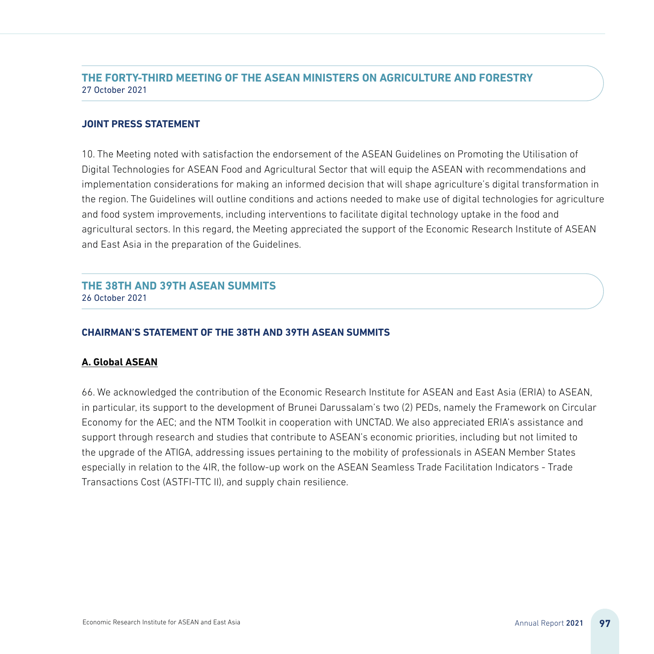# **THE FORTY-THIRD MEETING OF THE ASEAN MINISTERS ON AGRICULTURE AND FORESTRY** 27 October 2021

#### **JOINT PRESS STATEMENT**

10. The Meeting noted with satisfaction the endorsement of the ASEAN Guidelines on Promoting the Utilisation of Digital Technologies for ASEAN Food and Agricultural Sector that will equip the ASEAN with recommendations and implementation considerations for making an informed decision that will shape agriculture's digital transformation in the region. The Guidelines will outline conditions and actions needed to make use of digital technologies for agriculture and food system improvements, including interventions to facilitate digital technology uptake in the food and agricultural sectors. In this regard, the Meeting appreciated the support of the Economic Research Institute of ASEAN and East Asia in the preparation of the Guidelines.

# **THE 38TH AND 39TH ASEAN SUMMITS** 26 October 2021

## **CHAIRMAN'S STATEMENT OF THE 38TH AND 39TH ASEAN SUMMITS**

## **A. Global ASEAN**

66. We acknowledged the contribution of the Economic Research Institute for ASEAN and East Asia (ERIA) to ASEAN, in particular, its support to the development of Brunei Darussalam's two (2) PEDs, namely the Framework on Circular Economy for the AEC; and the NTM Toolkit in cooperation with UNCTAD. We also appreciated ERIA's assistance and support through research and studies that contribute to ASEAN's economic priorities, including but not limited to the upgrade of the ATIGA, addressing issues pertaining to the mobility of professionals in ASEAN Member States especially in relation to the 4IR, the follow-up work on the ASEAN Seamless Trade Facilitation Indicators - Trade Transactions Cost (ASTFI-TTC II), and supply chain resilience.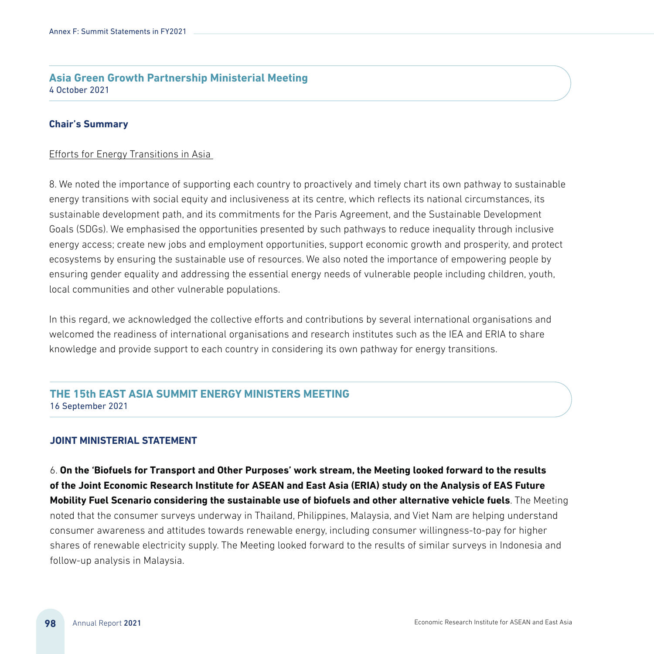# **Asia Green Growth Partnership Ministerial Meeting** 4 October 2021

#### **Chair's Summary**

#### Efforts for Energy Transitions in Asia

8. We noted the importance of supporting each country to proactively and timely chart its own pathway to sustainable energy transitions with social equity and inclusiveness at its centre, which reflects its national circumstances, its sustainable development path, and its commitments for the Paris Agreement, and the Sustainable Development Goals (SDGs). We emphasised the opportunities presented by such pathways to reduce inequality through inclusive energy access; create new jobs and employment opportunities, support economic growth and prosperity, and protect ecosystems by ensuring the sustainable use of resources. We also noted the importance of empowering people by ensuring gender equality and addressing the essential energy needs of vulnerable people including children, youth, local communities and other vulnerable populations.

In this regard, we acknowledged the collective efforts and contributions by several international organisations and welcomed the readiness of international organisations and research institutes such as the IEA and ERIA to share knowledge and provide support to each country in considering its own pathway for energy transitions.

# **THE 15th EAST ASIA SUMMIT ENERGY MINISTERS MEETING** 16 September 2021

#### **JOINT MINISTERIAL STATEMENT**

6. **On the 'Biofuels for Transport and Other Purposes' work stream, the Meeting looked forward to the results of the Joint Economic Research Institute for ASEAN and East Asia (ERIA) study on the Analysis of EAS Future Mobility Fuel Scenario considering the sustainable use of biofuels and other alternative vehicle fuels**. The Meeting noted that the consumer surveys underway in Thailand, Philippines, Malaysia, and Viet Nam are helping understand consumer awareness and attitudes towards renewable energy, including consumer willingness-to-pay for higher shares of renewable electricity supply. The Meeting looked forward to the results of similar surveys in Indonesia and follow-up analysis in Malaysia.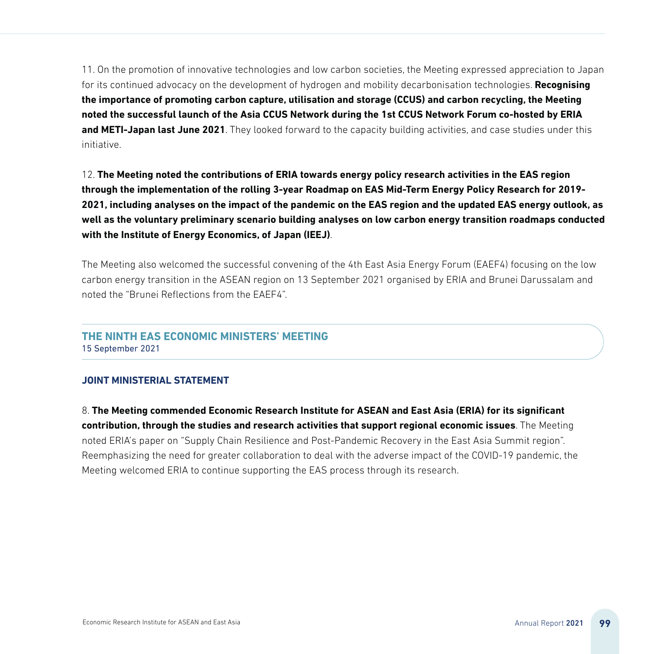11. On the promotion of innovative technologies and low carbon societies, the Meeting expressed appreciation to Japan for its continued advocacy on the development of hydrogen and mobility decarbonisation technologies. **Recognising the importance of promoting carbon capture, utilisation and storage (CCUS) and carbon recycling, the Meeting noted the successful launch of the Asia CCUS Network during the 1st CCUS Network Forum co-hosted by ERIA and METI-Japan last June 2021**. They looked forward to the capacity building activities, and case studies under this initiative.

12. **The Meeting noted the contributions of ERIA towards energy policy research activities in the EAS region through the implementation of the rolling 3-year Roadmap on EAS Mid-Term Energy Policy Research for 2019- 2021, including analyses on the impact of the pandemic on the EAS region and the updated EAS energy outlook, as well as the voluntary preliminary scenario building analyses on low carbon energy transition roadmaps conducted with the Institute of Energy Economics, of Japan (IEEJ)**.

The Meeting also welcomed the successful convening of the 4th East Asia Energy Forum (EAEF4) focusing on the low carbon energy transition in the ASEAN region on 13 September 2021 organised by ERIA and Brunei Darussalam and noted the "Brunei Reflections from the EAEF4".

# **THE NINTH EAS ECONOMIC MINISTERS' MEETING**

15 September 2021

## **JOINT MINISTERIAL STATEMENT**

8. **The Meeting commended Economic Research Institute for ASEAN and East Asia (ERIA) for its significant contribution, through the studies and research activities that support regional economic issues**. The Meeting noted ERIA's paper on "Supply Chain Resilience and Post-Pandemic Recovery in the East Asia Summit region". Reemphasizing the need for greater collaboration to deal with the adverse impact of the COVID-19 pandemic, the Meeting welcomed ERIA to continue supporting the EAS process through its research.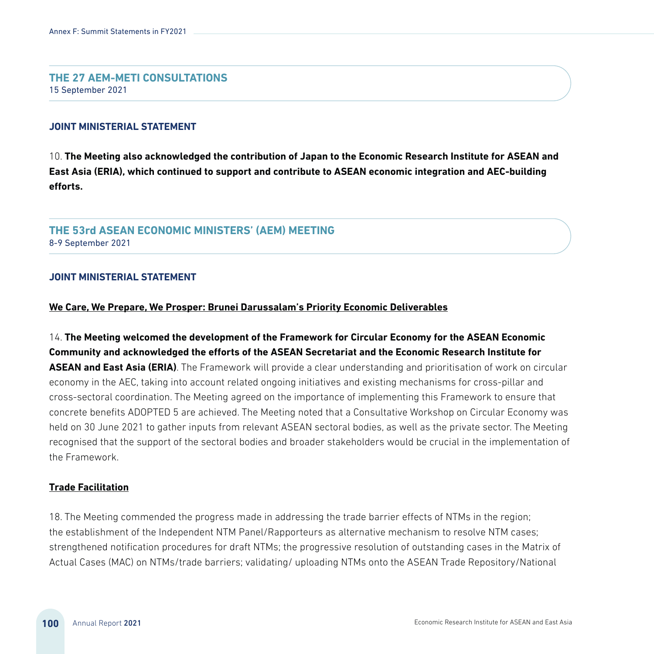#### **THE 27 AEM-METI CONSULTATIONS** 15 September 2021

#### **JOINT MINISTERIAL STATEMENT**

10. **The Meeting also acknowledged the contribution of Japan to the Economic Research Institute for ASEAN and East Asia (ERIA), which continued to support and contribute to ASEAN economic integration and AEC-building efforts.**

## **THE 53rd ASEAN ECONOMIC MINISTERS' (AEM) MEETING**  8-9 September 2021

#### **JOINT MINISTERIAL STATEMENT**

#### **We Care, We Prepare, We Prosper: Brunei Darussalam's Priority Economic Deliverables**

14. **The Meeting welcomed the development of the Framework for Circular Economy for the ASEAN Economic Community and acknowledged the efforts of the ASEAN Secretariat and the Economic Research Institute for ASEAN and East Asia (ERIA)**. The Framework will provide a clear understanding and prioritisation of work on circular economy in the AEC, taking into account related ongoing initiatives and existing mechanisms for cross-pillar and cross-sectoral coordination. The Meeting agreed on the importance of implementing this Framework to ensure that concrete benefits ADOPTED 5 are achieved. The Meeting noted that a Consultative Workshop on Circular Economy was held on 30 June 2021 to gather inputs from relevant ASEAN sectoral bodies, as well as the private sector. The Meeting recognised that the support of the sectoral bodies and broader stakeholders would be crucial in the implementation of the Framework.

#### **Trade Facilitation**

18. The Meeting commended the progress made in addressing the trade barrier effects of NTMs in the region; the establishment of the Independent NTM Panel/Rapporteurs as alternative mechanism to resolve NTM cases; strengthened notification procedures for draft NTMs; the progressive resolution of outstanding cases in the Matrix of Actual Cases (MAC) on NTMs/trade barriers; validating/ uploading NTMs onto the ASEAN Trade Repository/National